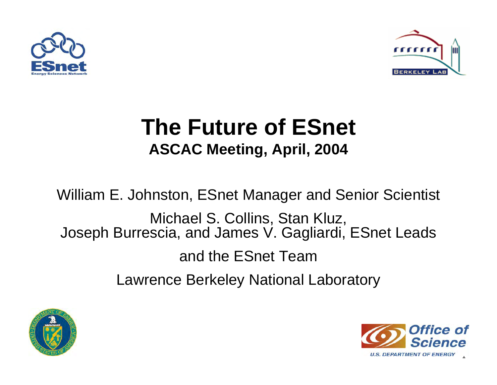



# **The Future of ESnet ASCAC Meeting, April, 2004**

William E. Johnston, ESnet Manager and Senior Scientist

Michael S. Collins, Stan Kluz, Joseph Burrescia, and James V. Gagliardi, ESnet Leads

and the ESnet Team

Lawrence Berkeley National Laboratory



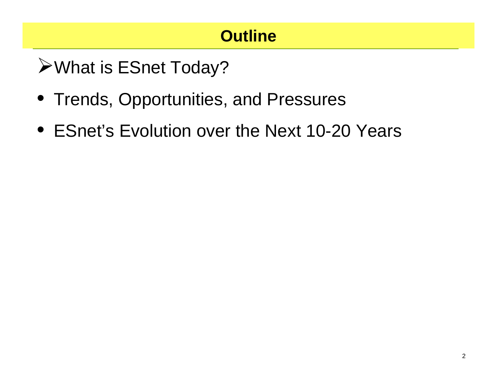### **Outline**

¾What is ESnet Today?

- Trends, Opportunities, and Pressures
- ESnet's Evolution over the Next 10-20 Years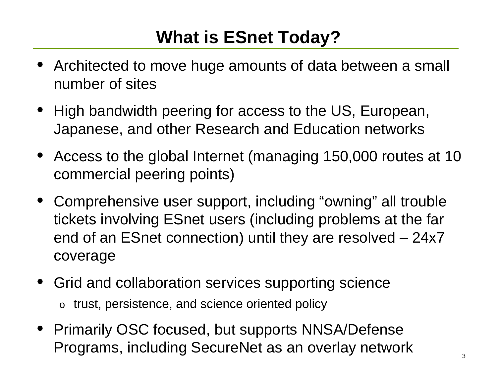# **What is ESnet Today?**

- • Architected to move huge amounts of data between a small number of sites
- High bandwidth peering for access to the US, European, Japanese, and other Research and Education networks
- • Access to the global Internet (managing 150,000 routes at 10 commercial peering points)
- Comprehensive user support, including "owning" all trouble tickets involving ESnet users (including problems at the far end of an ESnet connection) until they are resolved – 24x7 coverage
- • Grid and collaboration services supporting science o trust, persistence, and science oriented policy
- Primarily OSC focused, but supports NNSA/Defense Programs, including SecureNet as an overlay network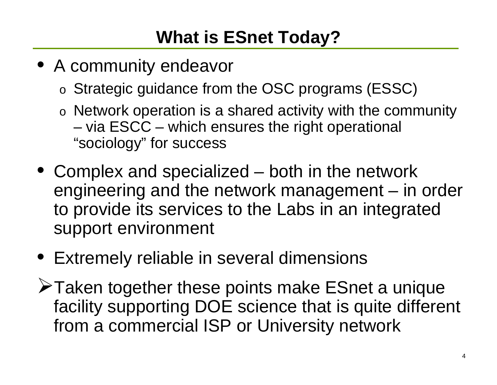- A community endeavor
	- o Strategic guidance from the OSC programs (ESSC)
	- o Network operation is a shared activity with the community via ESCC – which ensures the right operational "sociology" for success
- Complex and specialized both in the network engineering and the network management – in order to provide its services to the Labs in an integrated support environment
- Extremely reliable in several dimensions
- ¾Taken together these points make ESnet a unique facility supporting DOE science that is quite different from a commercial ISP or University network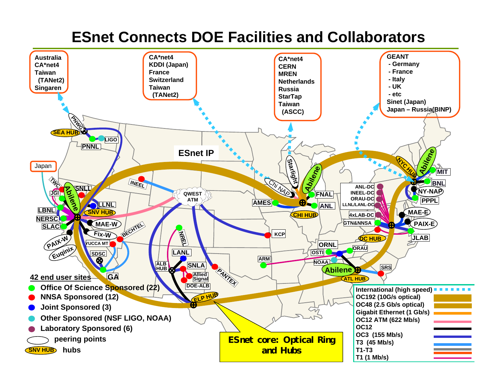### **ESnet Connects DOE Facilities and Collaborators**

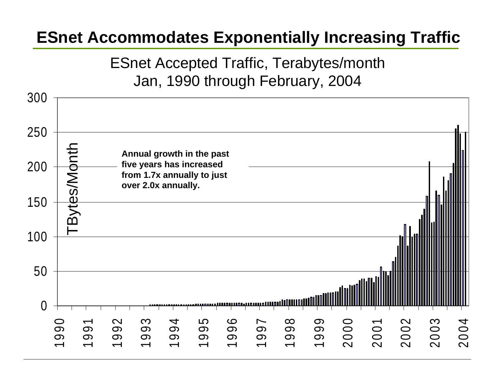### **ESnet Accommodates Exponentially Increasing Traffic**

ESnet Accepted Traffic, Terabytes/month Jan, 1990 through February, 2004

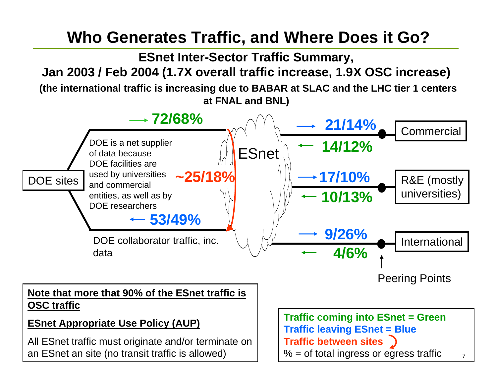### **Who Generates Traffic, and Where Does it Go?**



All ESnet traffic must originate and/or terminate on an ESnet an site (no transit traffic is allowed)

7**Traffic leaving ESnet = Blue Traffic between sites**  $% =$  of total ingress or egress traffic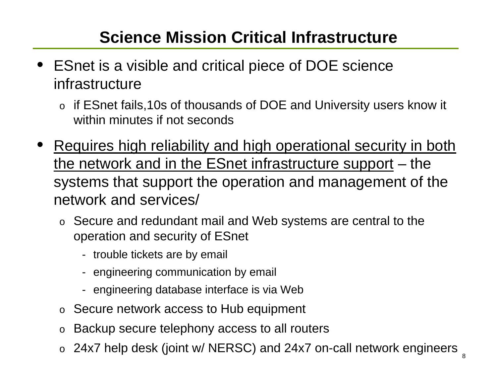## **Science Mission Critical Infrastructure**

- ESnet is a visible and critical piece of DOE science infrastructure
	- o if ESnet fails,10s of thousands of DOE and University users know it within minutes if not seconds
- • Requires high reliability and high operational security in both the network and in the ESnet infrastructure support – the systems that support the operation and management of the network and services/
	- o Secure and redundant mail and Web systems are central to the operation and security of ESnet
		- trouble tickets are by email
		- engineering communication by email
		- engineering database interface is via Web
	- o Secure network access to Hub equipment
	- o Backup secure telephony access to all routers
	- o 24x7 help desk (joint w/ NERSC) and 24x7 on-call network engineers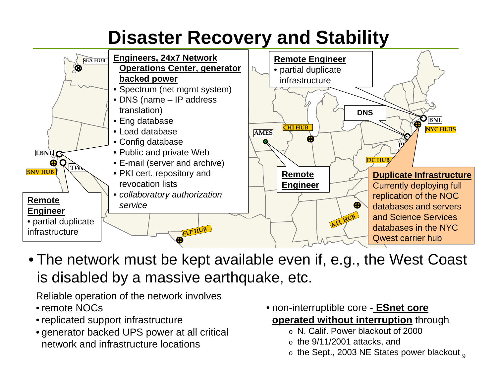# **Disaster Recovery and Stability**



• The network must be kept available even if, e.g., the West Coast is disabled by a massive earthquake, etc.

Reliable operation of the network involves

- remote NOCs
- replicated support infrastructure
- generator backed UPS power at all critical network and infrastructure locations
- non-interruptible core **ESnet core operated without interruption** through
	- o N. Calif. Power blackout of 2000
	- o the 9/11/2001 attacks, and
	- $\,$  the Sept., 2003 NE States power blackout  $_{9}$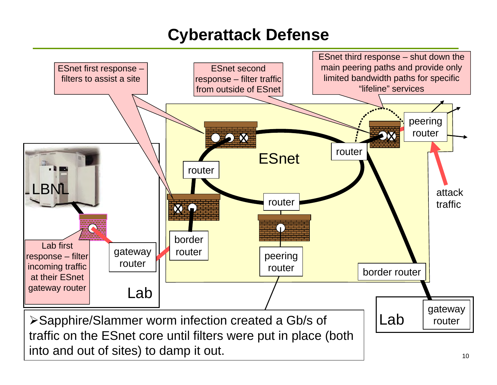### **Cyberattack Defense**

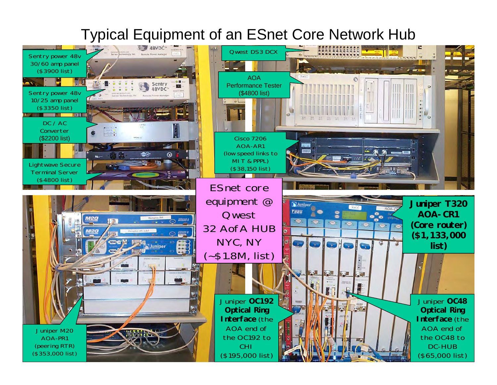### Typical Equipment of an ESnet Core Network Hub

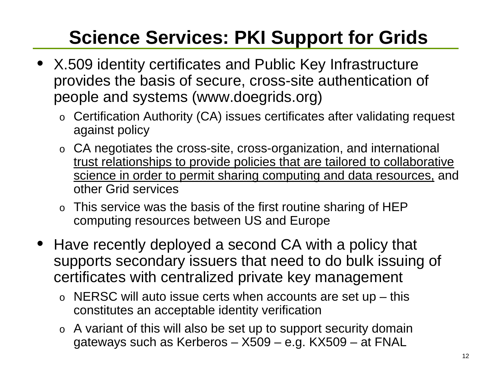# **Science Services: PKI Support for Grids**

- X.509 identity certificates and Public Key Infrastructure provides the basis of secure, cross-site authentication of people and systems (www.doegrids.org)
	- o Certification Authority (CA) issues certificates after validating request against policy
	- o CA negotiates the cross-site, cross-organization, and international trust relationships to provide policies that are tailored to collaborative science in order to permit sharing computing and data resources, and other Grid services
	- o This service was the basis of the first routine sharing of HEP computing resources between US and Europe
- Have recently deployed a second CA with a policy that supports secondary issuers that need to do bulk issuing of certificates with centralized private key management
	- o NERSC will auto issue certs when accounts are set up this constitutes an acceptable identity verification
	- o A variant of this will also be set up to support security domain gateways such as Kerberos – X509 – e.g. KX509 – at FNAL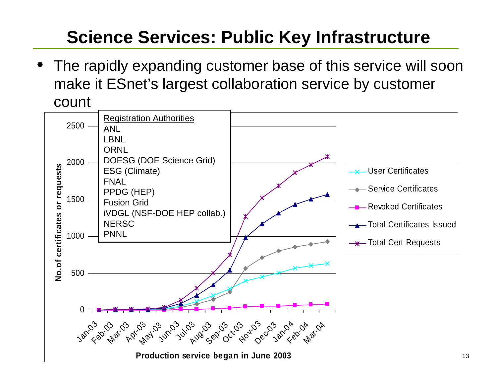## **Science Services: Public Key Infrastructure**

• The rapidly expanding customer base of this service will soon make it ESnet's largest collaboration service by customer count

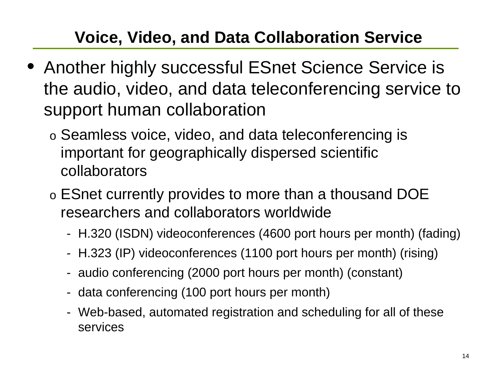## **Voice, Video, and Data Collaboration Service**

- Another highly successful ESnet Science Service is the audio, video, and data teleconferencing service to support human collaboration
	- o Seamless voice, video, and data teleconferencing is important for geographically dispersed scientific collaborators
	- o ESnet currently provides to more than a thousand DOE researchers and collaborators worldwide
		- H.320 (ISDN) videoconferences (4600 port hours per month) (fading)
		- -H.323 (IP) videoconferences (1100 port hours per month) (rising)
		- audio conferencing (2000 port hours per month) (constant)
		- data conferencing (100 port hours per month)
		- - Web-based, automated registration and scheduling for all of these services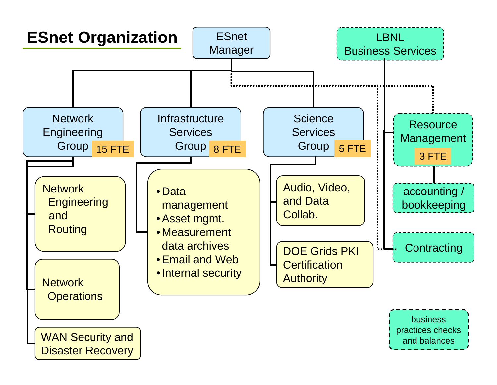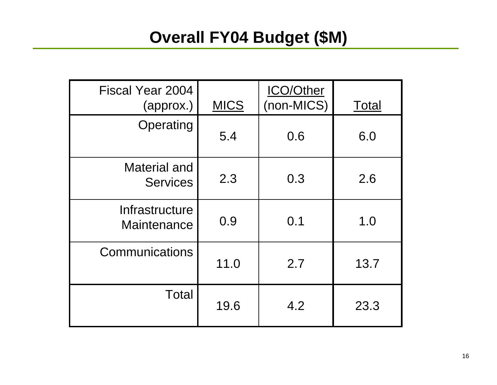### **Overall FY04 Budget (\$M)**

| <b>Fiscal Year 2004</b><br>$\left($ approx. $\right)$ | <b>MICS</b> | <b>ICO/Other</b><br>(non-MICS) | Total |
|-------------------------------------------------------|-------------|--------------------------------|-------|
| Operating                                             | 5.4         | 0.6                            | 6.0   |
| <b>Material and</b><br><b>Services</b>                | 2.3         | 0.3                            | 2.6   |
| Infrastructure<br>Maintenance                         | 0.9         | 0.1                            | 1.0   |
| Communications                                        | 11.0        | 2.7                            | 13.7  |
| <b>Total</b>                                          | 19.6        | 4.2                            | 23.3  |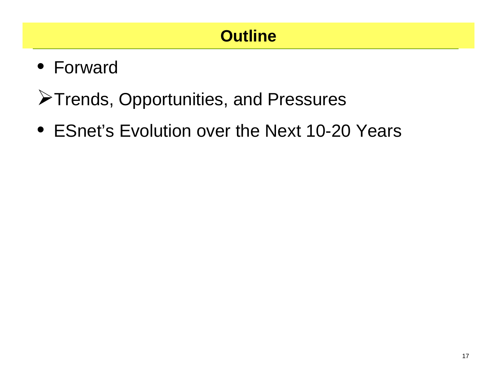## • Forward

## ¾Trends, Opportunities, and Pressures

• ESnet's Evolution over the Next 10-20 Years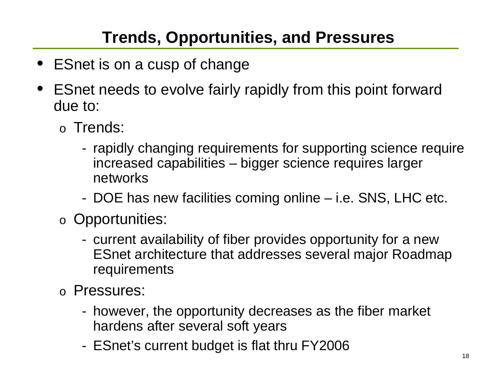## **Trends, Opportunities, and Pressures**

- •ESnet is on a cusp of change
- • ESnet needs to evolve fairly rapidly from this point forward due to:
	- o Trends:
		- rapidly changing requirements for supporting science require increased capabilities – bigger science requires larger networks
		- -DOE has new facilities coming online – i.e. SNS, LHC etc.
	- o Opportunities:
		- current availability of fiber provides opportunity for a new ESnet architecture that addresses several major Roadmap requirements
	- o Pressures:
		- however, the opportunity decreases as the fiber market hardens after several soft years
		- -ESnet's current budget is flat thru FY2006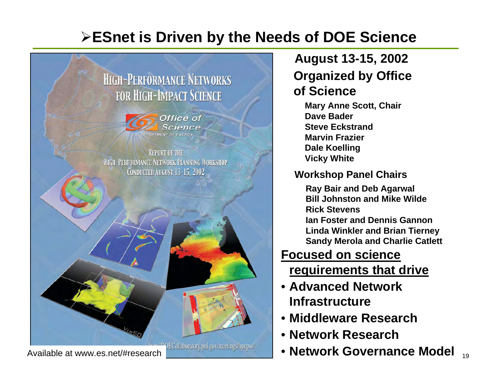### ¾**ESnet is Driven by the Needs of DOE Science**

### **HIGH-PERFORMANCE NETWORKS FOR HIGH-IMPACT SCIENCE**

![](_page_18_Picture_2.jpeg)

![](_page_18_Picture_3.jpeg)

POECollaboratory.pnl.gov/meetings/hpnpw/ Available at www.es.net/#research

### **Organized by Office of ScienceAugust 13-15, 2002**

**Mary Anne Scott, Chair Dave Bader Steve Eckstrand Marvin Frazier Dale Koelling Vicky White**

#### **Workshop Panel Chairs**

**Ray Bair and Deb Agarwal Bill Johnston and Mike WildeRick StevensIan Foster and Dennis GannonLinda Winkler and Brian Tierney Sandy Merola and Charlie Catlett**

#### **Focused on science requirements that drive**

- **Advanced Network Infrastructure**
- **Middleware Research**
- **Network Research**
- **Network Governance Model**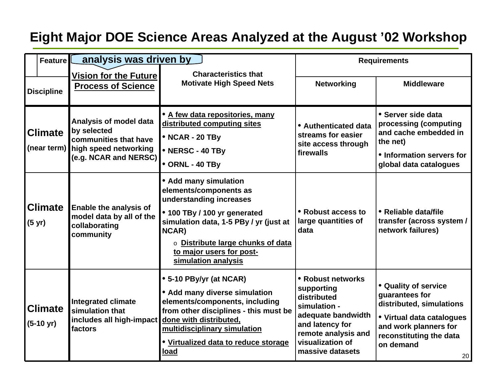### **Eight Major DOE Science Areas Analyzed at the August '02 Workshop**

| <b>Feature</b>                        | analysis was driven by                                                                                                              |                                                                                                                                                                                                                                                       | <b>Requirements</b>                                                                                                                                                    |                                                                                                                                                                        |
|---------------------------------------|-------------------------------------------------------------------------------------------------------------------------------------|-------------------------------------------------------------------------------------------------------------------------------------------------------------------------------------------------------------------------------------------------------|------------------------------------------------------------------------------------------------------------------------------------------------------------------------|------------------------------------------------------------------------------------------------------------------------------------------------------------------------|
| <b>Discipline</b>                     | <b>Vision for the Future</b><br><b>Process of Science</b>                                                                           | <b>Characteristics that</b><br><b>Motivate High Speed Nets</b>                                                                                                                                                                                        | <b>Networking</b>                                                                                                                                                      | <b>Middleware</b>                                                                                                                                                      |
| <b>Climate</b>                        | <b>Analysis of model data</b><br>by selected<br>communities that have<br>(near term) high speed networking<br>(e.g. NCAR and NERSC) | • A few data repositories, many<br>distributed computing sites<br>• NCAR - 20 TBy<br>• NERSC - 40 TBy<br>• ORNL - 40 TBy                                                                                                                              | • Authenticated data<br>streams for easier<br>site access through<br>firewalls                                                                                         | • Server side data<br>processing (computing<br>and cache embedded in<br>the net)<br>• Information servers for<br>global data catalogues                                |
| <b>Climate</b><br>(5 <i>yr</i> )      | <b>Enable the analysis of</b><br>model data by all of the<br>collaborating<br>community                                             | • Add many simulation<br>elements/components as<br>understanding increases<br>• 100 TBy / 100 yr generated<br>simulation data, 1-5 PBy / yr (just at<br>NCAR)<br>o Distribute large chunks of data<br>to major users for post-<br>simulation analysis | • Robust access to<br>large quantities of<br>data                                                                                                                      | • Reliable data/file<br>transfer (across system /<br>network failures)                                                                                                 |
| <b>Climate</b><br>$(5-10 \text{ yr})$ | Integrated climate<br>simulation that<br>includes all high-impact done with distributed,<br>factors                                 | • 5-10 PBy/yr (at NCAR)<br>• Add many diverse simulation<br>elements/components, including<br>from other disciplines - this must be<br>multidisciplinary simulation<br>. Virtualized data to reduce storage<br>load                                   | • Robust networks<br>supporting<br>distributed<br>simulation -<br>adequate bandwidth<br>and latency for<br>remote analysis and<br>visualization of<br>massive datasets | • Quality of service<br>guarantees for<br>distributed, simulations<br>• Virtual data catalogues<br>and work planners for<br>reconstituting the data<br>on demand<br>20 |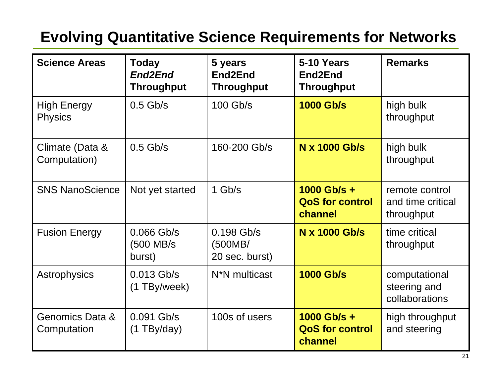### **Evolving Quantitative Science Requirements for Networks**

| <b>Science Areas</b>                      | <b>Today</b><br><b>End2End</b><br><b>Throughput</b> | 5 years<br>End <sub>2</sub> End<br><b>Throughput</b> | 5-10 Years<br>End <sub>2</sub> End<br><b>Throughput</b> | <b>Remarks</b>                                    |
|-------------------------------------------|-----------------------------------------------------|------------------------------------------------------|---------------------------------------------------------|---------------------------------------------------|
| <b>High Energy</b><br><b>Physics</b>      | $0.5$ Gb/s                                          | 100 Gb/s                                             | <b>1000 Gb/s</b>                                        | high bulk<br>throughput                           |
| Climate (Data &<br>Computation)           | $0.5$ Gb/s                                          | 160-200 Gb/s                                         | <b>N x 1000 Gb/s</b>                                    | high bulk<br>throughput                           |
| <b>SNS NanoScience</b>                    | Not yet started                                     | $1$ Gb/s                                             | $1000$ Gb/s +<br><b>QoS for control</b><br>channel      | remote control<br>and time critical<br>throughput |
| <b>Fusion Energy</b>                      | $0.066$ Gb/s<br>(500 MB/s)<br>burst)                | $0.198$ Gb/s<br>(500MB/<br>20 sec. burst)            | <b>N x 1000 Gb/s</b>                                    | time critical<br>throughput                       |
| Astrophysics                              | $0.013$ Gb/s<br>TBy/week)<br>(1)                    | N <sup>*</sup> N multicast                           | <b>1000 Gb/s</b>                                        | computational<br>steering and<br>collaborations   |
| <b>Genomics Data &amp;</b><br>Computation | $0.091$ Gb/s<br>$(1$ TBy/day)                       | 100s of users                                        | 1000 Gb/s +<br><b>QoS for control</b><br>channel        | high throughput<br>and steering                   |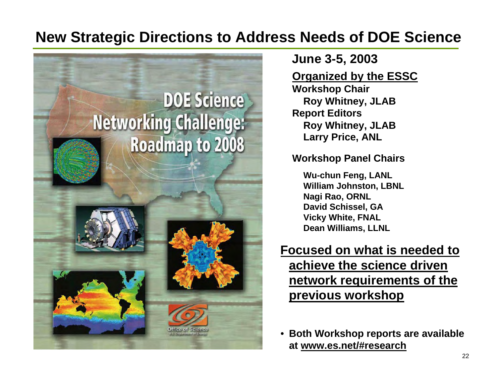### **New Strategic Directions to Address Needs of DOE Science**

![](_page_21_Picture_1.jpeg)

**June 3-5, 2003**

#### **Organized by the ESSC**

**Workshop Chair Roy Whitney, JLAB Report Editors Roy Whitney, JLAB Larry Price, ANL**

#### **Workshop Panel Chairs**

**Wu-chun Feng, LANL William Johnston, LBNL Nagi Rao, ORNL David Schissel, GA Vicky White, FNAL Dean Williams, LLNL**

### **Focused on what is needed to achieve the science driven network requirements of the previous workshop**

• **Both Workshop reports are available at www.es.net/#research**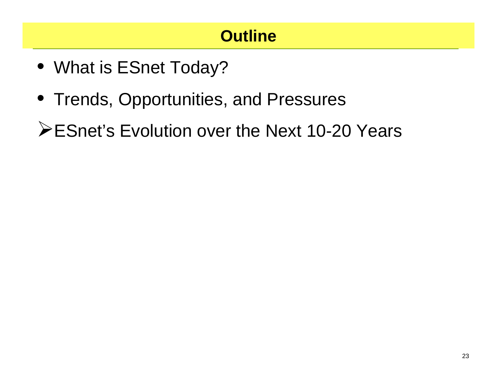### **Outline**

- What is ESnet Today?
- Trends, Opportunities, and Pressures
- ¾ESnet's Evolution over the Next 10-20 Years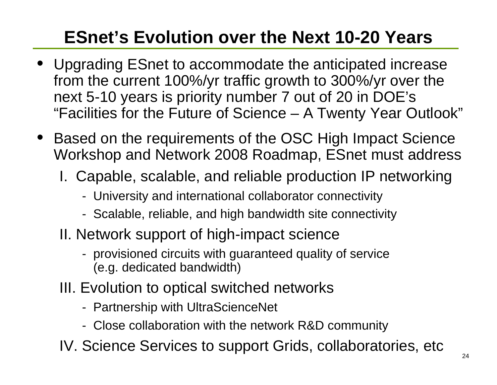# **ESnet's Evolution over the Next 10-20 Years**

- Upgrading ESnet to accommodate the anticipated increase from the current 100%/yr traffic growth to 300%/yr over the next 5-10 years is priority number 7 out of 20 in DOE's "Facilities for the Future of Science – A Twenty Year Outlook"
- Based on the requirements of the OSC High Impact Science Workshop and Network 2008 Roadmap, ESnet must address
	- I. Capable, scalable, and reliable production IP networking
		- University and international collaborator connectivity
		- -Scalable, reliable, and high bandwidth site connectivity
	- II. Network support of high-impact science
		- provisioned circuits with guaranteed quality of service (e.g. dedicated bandwidth)
	- III. Evolution to optical switched networks
		- -Partnership with UltraScienceNet
		- -Close collaboration with the network R&D community
	- IV. Science Services to support Grids, collaboratories, etc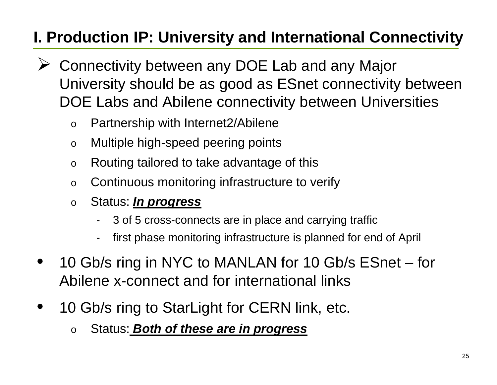### **I. Production IP: University and International Connectivity**

- ¾ Connectivity between any DOE Lab and any Major University should be as good as ESnet connectivity between DOE Labs and Abilene connectivity between Universities
	- oPartnership with Internet2/Abilene
	- oMultiple high-speed peering points
	- oRouting tailored to take advantage of this
	- oContinuous monitoring infrastructure to verify
	- o Status: *In progress*
		- -3 of 5 cross-connects are in place and carrying traffic
		- first phase monitoring infrastructure is planned for end of April
- • 10 Gb/s ring in NYC to MANLAN for 10 Gb/s ESnet – for Abilene x-connect and for international links
- $\bullet$  10 Gb/s ring to StarLight for CERN link, etc.
	- oStatus: *Both of these are in progress*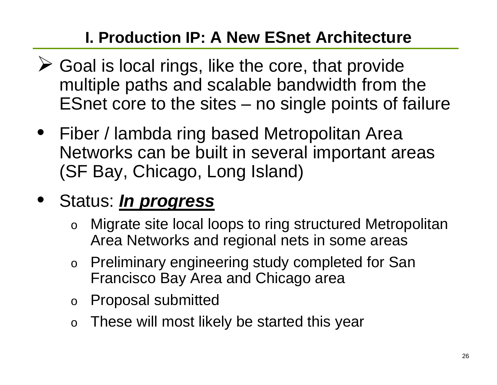### **I. Production IP: A New ESnet Architecture**

- $\triangleright$  Goal is local rings, like the core, that provide multiple paths and scalable bandwidth from the ESnet core to the sites – no single points of failure
- Fiber / lambda ring based Metropolitan Area Networks can be built in several important areas (SF Bay, Chicago, Long Island)

#### •Status: *In progress*

- o Migrate site local loops to ring structured Metropolitan Area Networks and regional nets in some areas
- o Preliminary engineering study completed for San Francisco Bay Area and Chicago area
- o Proposal submitted
- o These will most likely be started this year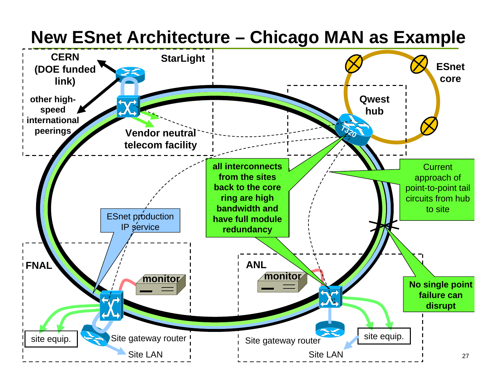![](_page_26_Figure_0.jpeg)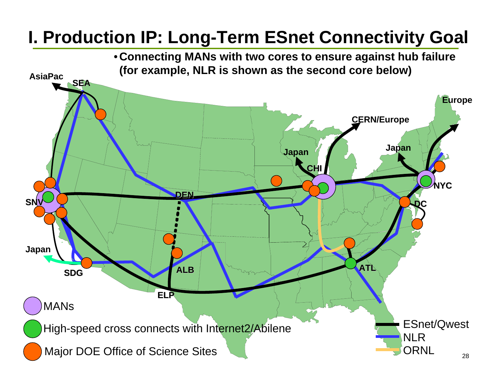# **I. Production IP: Long-Term ESnet Connectivity Goal**

![](_page_27_Figure_1.jpeg)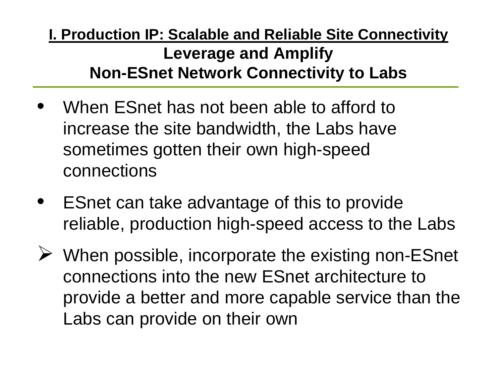**I. Production IP: Scalable and Reliable Site Connectivity Leverage and Amplify Non-ESnet Network Connectivity to Labs**

- • When ESnet has not been able to afford to increase the site bandwidth, the Labs have sometimes gotten their own high-speed connections
- $\bullet$  ESnet can take advantage of this to provide reliable, production high-speed access to the Labs
- $\triangleright$  When possible, incorporate the existing non-ESnet connections into the new ESnet architecture to provide a better and more capable service than the Labs can provide on their own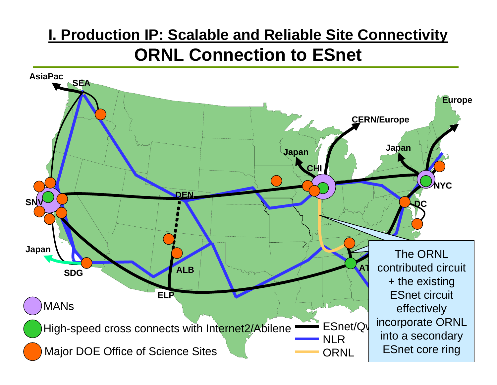### **I. Production IP: Scalable and Reliable Site Connectivity ORNL Connection to ESnet**

![](_page_29_Figure_1.jpeg)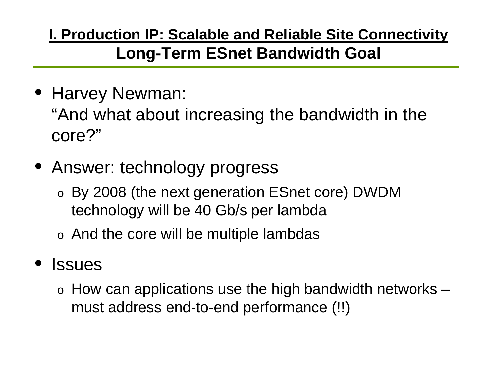**I. Production IP: Scalable and Reliable Site Connectivity Long-Term ESnet Bandwidth Goal**

- Harvey Newman: "And what about increasing the bandwidth in the core?"
- Answer: technology progress
	- o By 2008 (the next generation ESnet core) DWDM technology will be 40 Gb/s per lambda
	- o And the core will be multiple lambdas

#### •**Issues**

o How can applications use the high bandwidth networks – must address end-to-end performance (!!)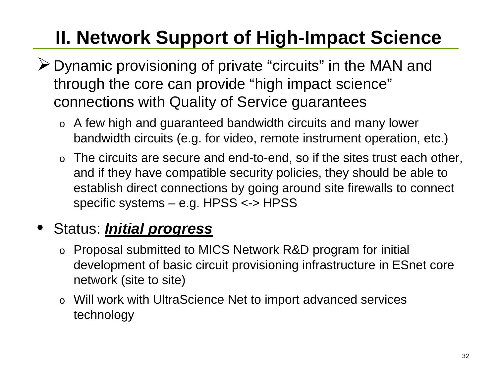# **II. Network Support of High-Impact Science**

- ¾Dynamic provisioning of private "circuits" in the MAN and through the core can provide "high impact science" connections with Quality of Service guarantees
	- o A few high and guaranteed bandwidth circuits and many lower bandwidth circuits (e.g. for video, remote instrument operation, etc.)
	- o The circuits are secure and end-to-end, so if the sites trust each other, and if they have compatible security policies, they should be able to establish direct connections by going around site firewalls to connect specific systems – e.g. HPSS <-> HPSS

#### •Status: *Initial progress*

- o Proposal submitted to MICS Network R&D program for initial development of basic circuit provisioning infrastructure in ESnet core network (site to site)
- o Will work with UltraScience Net to import advanced services technology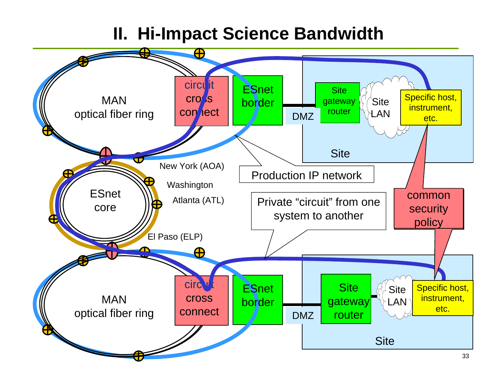## **II. Hi-Impact Science Bandwidth**

![](_page_32_Figure_1.jpeg)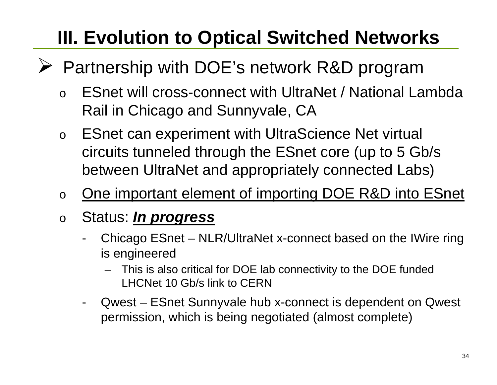# **III. Evolution to Optical Switched Networks**

- ¾ Partnership with DOE's network R&D program
	- o ESnet will cross-connect with UltraNet / National Lambda Rail in Chicago and Sunnyvale, CA
	- o ESnet can experiment with UltraScience Net virtual circuits tunneled through the ESnet core (up to 5 Gb/s between UltraNet and appropriately connected Labs)
	- oOne important element of importing DOE R&D into ESnet
	- o Status: *In progress*
		- - Chicago ESnet – NLR/UltraNet x-connect based on the IWire ring is engineered
			- This is also critical for DOE lab connectivity to the DOE funded LHCNet 10 Gb/s link to CERN
		- - Qwest – ESnet Sunnyvale hub x-connect is dependent on Qwest permission, which is being negotiated (almost complete)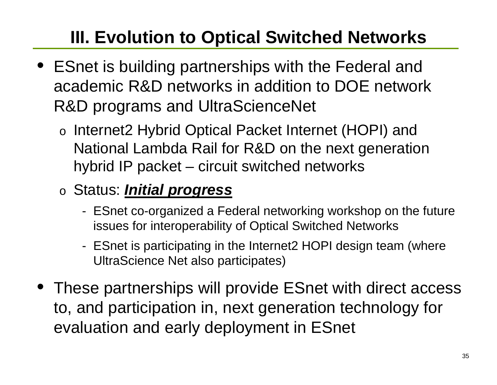# **III. Evolution to Optical Switched Networks**

- ESnet is building partnerships with the Federal and academic R&D networks in addition to DOE network R&D programs and UltraScienceNet
	- o Internet2 Hybrid Optical Packet Internet (HOPI) and National Lambda Rail for R&D on the next generation hybrid IP packet – circuit switched networks

### o Status: *Initial progress*

- - ESnet co-organized a Federal networking workshop on the future issues for interoperability of Optical Switched Networks
- - ESnet is participating in the Internet2 HOPI design team (where UltraScience Net also participates)
- These partnerships will provide ESnet with direct access to, and participation in, next generation technology for evaluation and early deployment in ESnet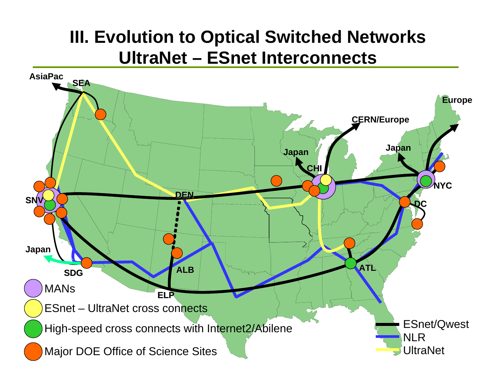## **III. Evolution to Optical Switched Networks UltraNet – ESnet Interconnects**

![](_page_35_Figure_1.jpeg)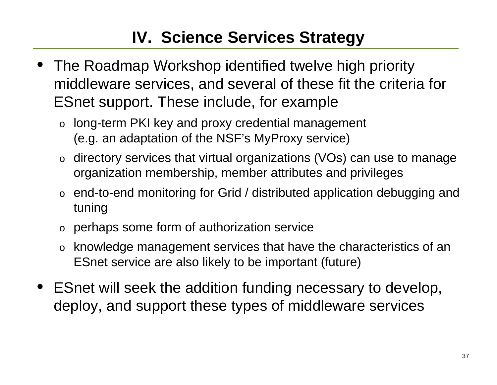## **IV. Science Services Strategy**

- The Roadmap Workshop identified twelve high priority middleware services, and several of these fit the criteria for ESnet support. These include, for example
	- o long-term PKI key and proxy credential management (e.g. an adaptation of the NSF's MyProxy service)
	- o directory services that virtual organizations (VOs) can use to manage organization membership, member attributes and privileges
	- o end-to-end monitoring for Grid / distributed application debugging and tuning
	- o perhaps some form of authorization service
	- o knowledge management services that have the characteristics of an ESnet service are also likely to be important (future)
- ESnet will seek the addition funding necessary to develop, deploy, and support these types of middleware services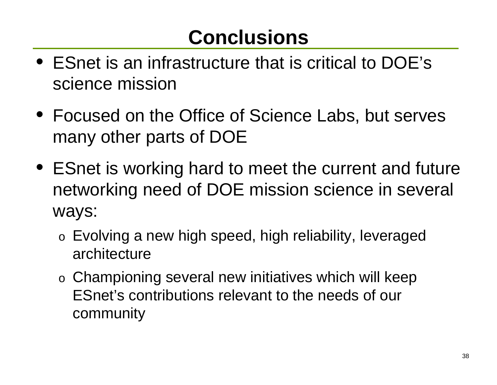# **Conclusions**

- ESnet is an infrastructure that is critical to DOE's science mission
- Focused on the Office of Science Labs, but serves many other parts of DOE
- ESnet is working hard to meet the current and future networking need of DOE mission science in several ways:
	- o Evolving a new high speed, high reliability, leveraged architecture
	- o Championing several new initiatives which will keep ESnet's contributions relevant to the needs of our community